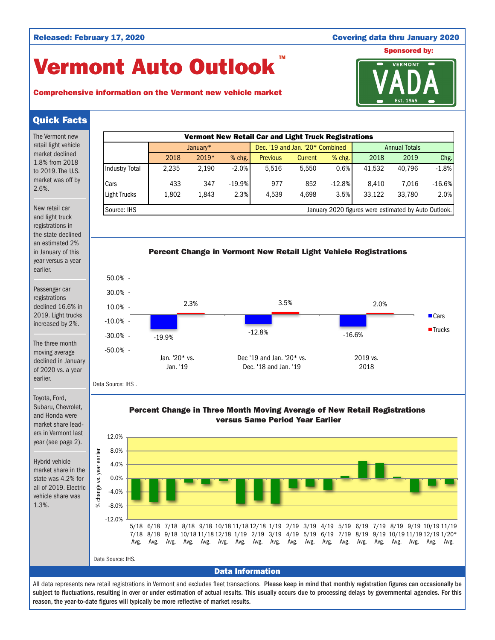## Released: February 17, 2020 **Covering data thru January 2020**

# Vermont Auto Outlook TM





## Quick Facts

The Vermont new retail light vehicle market declined 1.8% from 2018 to 2019. The U.S. market was off by 2.6%.

New retail car and light truck registrations in the state declined an estimated 2% in January of this year versus a year earlier.

Passenger car registrations declined 16.6% in 2019. Light trucks increased by 2%.

The three month moving average declined in January of 2020 vs. a year earlier.

January\* **Dec.** '19 and Jan. '20\* Combined Annual Totals 2018 2019\* % chg. Previous Current % chg. 2018 2019 Chg. Industry Total 2,235 2,190 -2.0% 5,516 5,550 0.6% 41,532 40,796 -1.8% Cars 433 347 -19.9% 977 852 -12.8% 8,410 7,016 -16.6% Light Trucks 1,802 1,843 2.3% 4,539 4,698 3.5% 33,122 33,780 2.0% Source: IHS **Source: IHS** January 2020 figures were estimated by Auto Outlook.

Vermont New Retail Car and Light Truck Registrations





Data Source: IHS .

Toyota, Ford, Subaru, Chevrolet, and Honda were market share leaders in Vermont last year (see page 2).

Hybrid vehicle market share in the state was 4.2% for all of 2019. Electric vehicle share was 1.3%.





All data represents new retail registrations in Vermont and excludes fleet transactions. Please keep in mind that monthly registration figures can occasionally be subject to fluctuations, resulting in over or under estimation of actual results. This usually occurs due to processing delays by governmental agencies. For this reason, the year-to-date figures will typically be more reflective of market results.